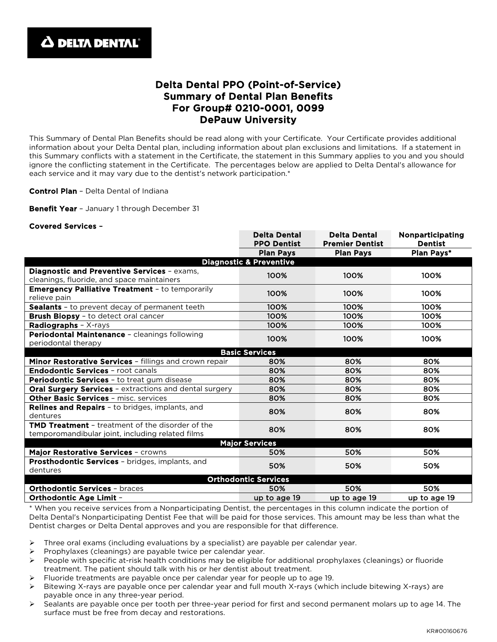

## Delta Dental PPO (Point-of-Service) Summary of Dental Plan Benefits For Group# 0210-0001, 0099 DePauw University

This Summary of Dental Plan Benefits should be read along with your Certificate. Your Certificate provides additional information about your Delta Dental plan, including information about plan exclusions and limitations. If a statement in this Summary conflicts with a statement in the Certificate, the statement in this Summary applies to you and you should ignore the conflicting statement in the Certificate. The percentages below are applied to Delta Dental's allowance for each service and it may vary due to the dentist's network participation.\*

Control Plan - Delta Dental of Indiana

Benefit Year - January 1 through December 31

## Covered Services –

|                                                                                                             | <b>Delta Dental</b><br><b>PPO Dentist</b> | <b>Delta Dental</b><br><b>Premier Dentist</b> | <b>Nonparticipating</b><br><b>Dentist</b> |
|-------------------------------------------------------------------------------------------------------------|-------------------------------------------|-----------------------------------------------|-------------------------------------------|
|                                                                                                             | <b>Plan Pays</b>                          | <b>Plan Pays</b>                              | <b>Plan Pays*</b>                         |
| <b>Diagnostic &amp; Preventive</b>                                                                          |                                           |                                               |                                           |
| Diagnostic and Preventive Services - exams,<br>cleanings, fluoride, and space maintainers                   | 100%                                      | 100%                                          | 100%                                      |
| <b>Emergency Palliative Treatment - to temporarily</b><br>relieve pain                                      | 100%                                      | 100%                                          | 100%                                      |
| Sealants - to prevent decay of permanent teeth                                                              | 100%                                      | 100%                                          | 100%                                      |
| <b>Brush Biopsy</b> - to detect oral cancer                                                                 | 100%                                      | 100%                                          | 100%                                      |
| Radiographs - X-rays                                                                                        | 100%                                      | 100%                                          | 100%                                      |
| Periodontal Maintenance - cleanings following<br>periodontal therapy                                        | 100%                                      | 100%                                          | 100%                                      |
| <b>Basic Services</b>                                                                                       |                                           |                                               |                                           |
| Minor Restorative Services - fillings and crown repair                                                      | 80%                                       | 80%                                           | 80%                                       |
| <b>Endodontic Services - root canals</b>                                                                    | 80%                                       | 80%                                           | 80%                                       |
| Periodontic Services - to treat gum disease                                                                 | 80%                                       | 80%                                           | 80%                                       |
| <b>Oral Surgery Services - extractions and dental surgery</b>                                               | 80%                                       | 80%                                           | 80%                                       |
| <b>Other Basic Services - misc. services</b>                                                                | 80%                                       | 80%                                           | 80%                                       |
| <b>Relines and Repairs - to bridges, implants, and</b><br>dentures                                          | 80%                                       | 80%                                           | 80%                                       |
| <b>TMD Treatment</b> - treatment of the disorder of the<br>temporomandibular joint, including related films | 80%                                       | 80%                                           | 80%                                       |
| <b>Major Services</b>                                                                                       |                                           |                                               |                                           |
| Major Restorative Services - crowns                                                                         | 50%                                       | 50%                                           | 50%                                       |
| Prosthodontic Services - bridges, implants, and<br>dentures                                                 | 50%                                       | 50%                                           | 50%                                       |
| <b>Orthodontic Services</b>                                                                                 |                                           |                                               |                                           |
| <b>Orthodontic Services - braces</b>                                                                        | 50%                                       | 50%                                           | 50%                                       |
| <b>Orthodontic Age Limit -</b>                                                                              | up to age 19                              | up to age 19                                  | up to age 19                              |

\* When you receive services from a Nonparticipating Dentist, the percentages in this column indicate the portion of Delta Dental's Nonparticipating Dentist Fee that will be paid for those services. This amount may be less than what the Dentist charges or Delta Dental approves and you are responsible for that difference.

- $\triangleright$  Three oral exams (including evaluations by a specialist) are payable per calendar year.
- $\triangleright$  Prophylaxes (cleanings) are payable twice per calendar year.
- $\triangleright$  People with specific at-risk health conditions may be eligible for additional prophylaxes (cleanings) or fluoride treatment. The patient should talk with his or her dentist about treatment.
- Fluoride treatments are payable once per calendar year for people up to age 19.
- $\triangleright$  Bitewing X-rays are payable once per calendar year and full mouth X-rays (which include bitewing X-rays) are payable once in any three-year period.
- $\triangleright$  Sealants are payable once per tooth per three-year period for first and second permanent molars up to age 14. The surface must be free from decay and restorations.